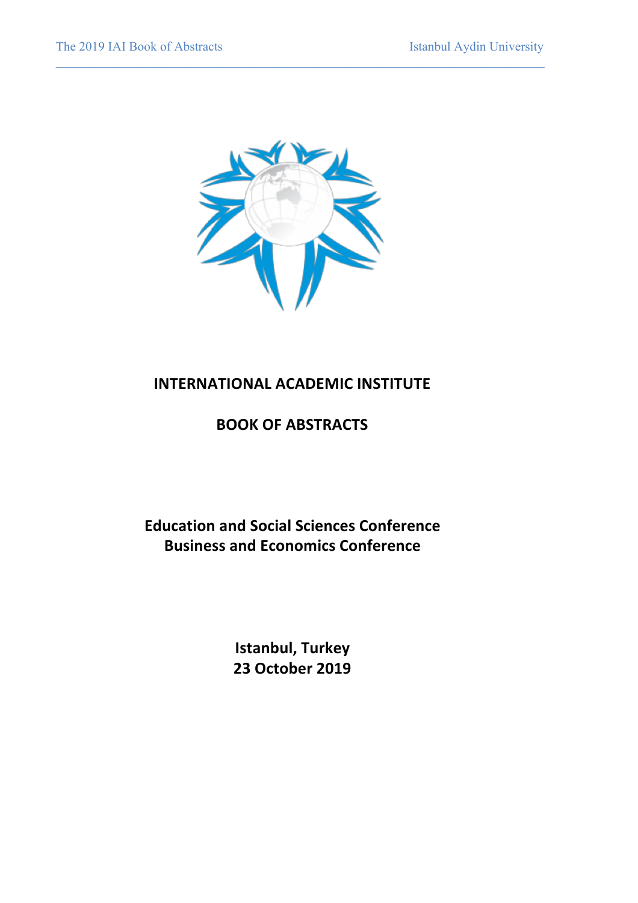

 $\mathcal{L} = \{ \mathcal{L} \mathcal{L} \mathcal{L} \mathcal{L} \mathcal{L} \mathcal{L} \mathcal{L} \mathcal{L} \mathcal{L} \mathcal{L} \mathcal{L} \mathcal{L} \mathcal{L} \mathcal{L} \mathcal{L} \mathcal{L} \mathcal{L} \mathcal{L} \mathcal{L} \mathcal{L} \mathcal{L} \mathcal{L} \mathcal{L} \mathcal{L} \mathcal{L} \mathcal{L} \mathcal{L} \mathcal{L} \mathcal{L} \mathcal{L} \mathcal{L} \mathcal{L} \mathcal{L} \mathcal{L} \mathcal{L} \$ 

# **INTERNATIONAL ACADEMIC INSTITUTE**

# **BOOK OF ABSTRACTS**

**Education and Social Sciences Conference Business and Economics Conference** 

> **Istanbul, Turkey 23 October 2019**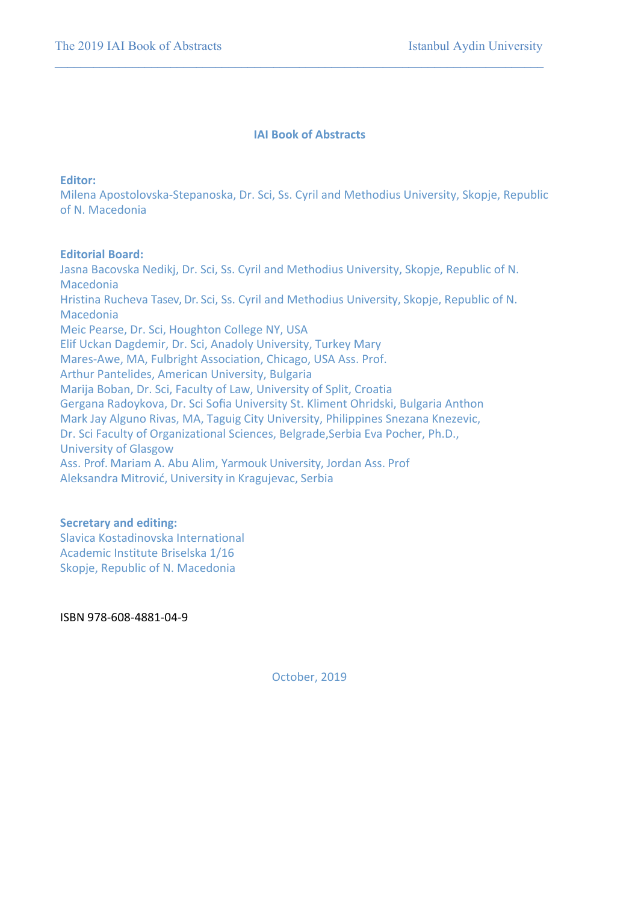### **IAI Book of Abstracts**

**\_\_\_\_\_\_\_\_\_\_\_\_\_\_\_\_\_\_\_\_\_\_\_\_\_\_\_\_\_\_\_\_\_\_\_\_\_\_\_\_\_\_\_\_\_\_\_\_\_\_\_\_\_\_\_\_\_\_\_\_\_\_\_\_\_\_\_\_\_\_\_\_\_\_\_\_**

### **Editor:**

Milena Apostolovska-Stepanoska, Dr. Sci, Ss. Cyril and Methodius University, Skopje, Republic of N. Macedonia

### **Editorial Board:**

Jasna Bacovska Nedikj, Dr. Sci, Ss. Cyril and Methodius University, Skopje, Republic of N. Macedonia Hristina Rucheva Tasev, Dr. Sci, Ss. Cyril and Methodius University, Skopje, Republic of N. Macedonia Meic Pearse, Dr. Sci, Houghton College NY, USA Elif Uckan Dagdemir, Dr. Sci, Anadoly University, Turkey Mary Mares-Awe, MA, Fulbright Association, Chicago, USA Ass. Prof. Arthur Pantelides, American University, Bulgaria Marija Boban, Dr. Sci, Faculty of Law, University of Split, Croatia Gergana Radoykova, Dr. Sci Sofia University St. Kliment Ohridski, Bulgaria Anthon Mark Jay Alguno Rivas, MA, Taguig City University, Philippines Snezana Knezevic, Dr. Sci Faculty of Organizational Sciences, Belgrade, Serbia Eva Pocher, Ph.D., University of Glasgow Ass. Prof. Mariam A. Abu Alim, Yarmouk University, Jordan Ass. Prof Aleksandra Mitrović, University in Kragujevac, Serbia

### **Secretary and editing:**

Slavica Kostadinovska International Academic Institute Briselska 1/16 Skopje, Republic of N. Macedonia

ISBN 978-608-4881-04-9

October, 2019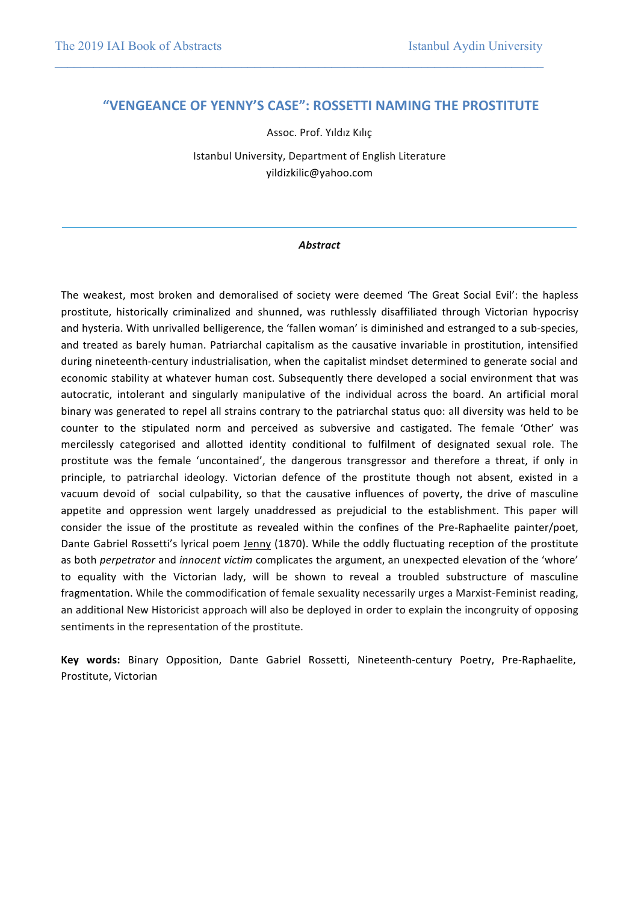## **"VENGEANCE OF YENNY'S CASE": ROSSETTI NAMING THE PROSTITUTE**

**\_\_\_\_\_\_\_\_\_\_\_\_\_\_\_\_\_\_\_\_\_\_\_\_\_\_\_\_\_\_\_\_\_\_\_\_\_\_\_\_\_\_\_\_\_\_\_\_\_\_\_\_\_\_\_\_\_\_\_\_\_\_\_\_\_\_\_\_\_\_\_\_\_\_\_\_**

Assoc. Prof. Yıldız Kılıç

Istanbul University, Department of English Literature yildizkilic@yahoo.com

#### *Abstract*

The weakest, most broken and demoralised of society were deemed 'The Great Social Evil': the hapless prostitute, historically criminalized and shunned, was ruthlessly disaffiliated through Victorian hypocrisy and hysteria. With unrivalled belligerence, the 'fallen woman' is diminished and estranged to a sub-species, and treated as barely human. Patriarchal capitalism as the causative invariable in prostitution, intensified during nineteenth-century industrialisation, when the capitalist mindset determined to generate social and economic stability at whatever human cost. Subsequently there developed a social environment that was autocratic, intolerant and singularly manipulative of the individual across the board. An artificial moral binary was generated to repel all strains contrary to the patriarchal status quo: all diversity was held to be counter to the stipulated norm and perceived as subversive and castigated. The female 'Other' was mercilessly categorised and allotted identity conditional to fulfilment of designated sexual role. The prostitute was the female 'uncontained', the dangerous transgressor and therefore a threat, if only in principle, to patriarchal ideology. Victorian defence of the prostitute though not absent, existed in a vacuum devoid of social culpability, so that the causative influences of poverty, the drive of masculine appetite and oppression went largely unaddressed as prejudicial to the establishment. This paper will consider the issue of the prostitute as revealed within the confines of the Pre-Raphaelite painter/poet, Dante Gabriel Rossetti's lyrical poem Jenny (1870). While the oddly fluctuating reception of the prostitute as both *perpetrator* and *innocent victim* complicates the argument, an unexpected elevation of the 'whore' to equality with the Victorian lady, will be shown to reveal a troubled substructure of masculine fragmentation. While the commodification of female sexuality necessarily urges a Marxist-Feminist reading, an additional New Historicist approach will also be deployed in order to explain the incongruity of opposing sentiments in the representation of the prostitute.

Key words: Binary Opposition, Dante Gabriel Rossetti, Nineteenth-century Poetry, Pre-Raphaelite, Prostitute, Victorian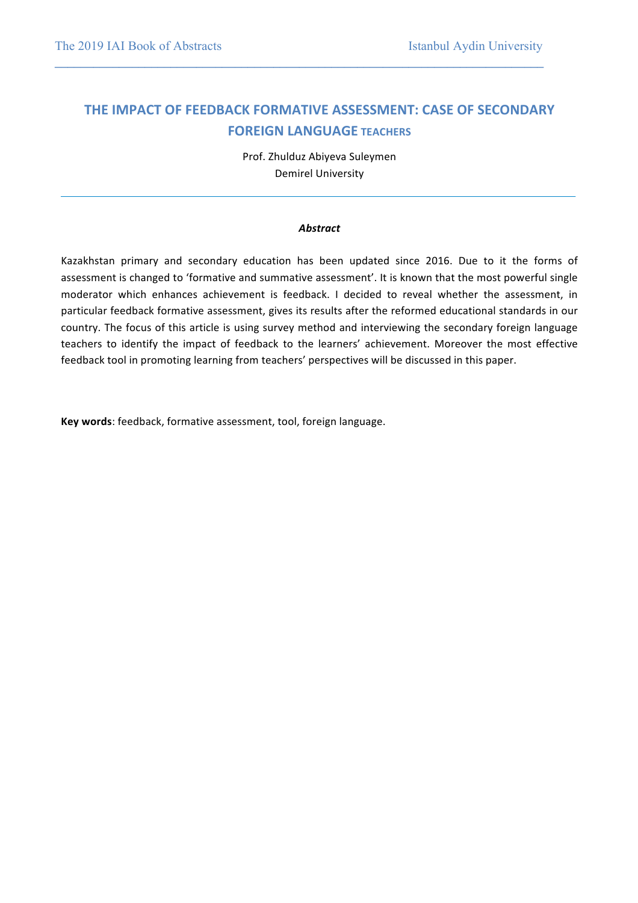## **THE IMPACT OF FEEDBACK FORMATIVE ASSESSMENT: CASE OF SECONDARY FOREIGN LANGUAGE TEACHERS**

**\_\_\_\_\_\_\_\_\_\_\_\_\_\_\_\_\_\_\_\_\_\_\_\_\_\_\_\_\_\_\_\_\_\_\_\_\_\_\_\_\_\_\_\_\_\_\_\_\_\_\_\_\_\_\_\_\_\_\_\_\_\_\_\_\_\_\_\_\_\_\_\_\_\_\_\_**

Prof. Zhulduz Abiyeva Suleymen Demirel University

#### *Abstract*

Kazakhstan primary and secondary education has been updated since 2016. Due to it the forms of assessment is changed to 'formative and summative assessment'. It is known that the most powerful single moderator which enhances achievement is feedback. I decided to reveal whether the assessment, in particular feedback formative assessment, gives its results after the reformed educational standards in our country. The focus of this article is using survey method and interviewing the secondary foreign language teachers to identify the impact of feedback to the learners' achievement. Moreover the most effective feedback tool in promoting learning from teachers' perspectives will be discussed in this paper.

Key words: feedback, formative assessment, tool, foreign language.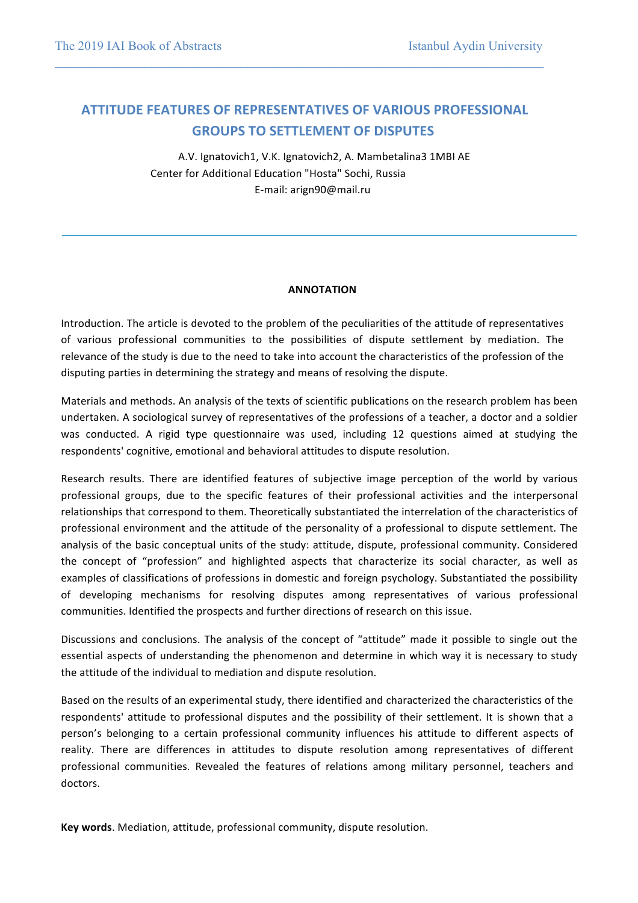## **ATTITUDE FEATURES OF REPRESENTATIVES OF VARIOUS PROFESSIONAL GROUPS TO SETTLEMENT OF DISPUTES**

**\_\_\_\_\_\_\_\_\_\_\_\_\_\_\_\_\_\_\_\_\_\_\_\_\_\_\_\_\_\_\_\_\_\_\_\_\_\_\_\_\_\_\_\_\_\_\_\_\_\_\_\_\_\_\_\_\_\_\_\_\_\_\_\_\_\_\_\_\_\_\_\_\_\_\_\_**

A.V. Ignatovich1, V.K. Ignatovich2, A. Mambetalina3 1MBI AE Center for Additional Education "Hosta" Sochi, Russia E-mail: arign90@mail.ru

#### **ANNOTATION**

Introduction. The article is devoted to the problem of the peculiarities of the attitude of representatives of various professional communities to the possibilities of dispute settlement by mediation. The relevance of the study is due to the need to take into account the characteristics of the profession of the disputing parties in determining the strategy and means of resolving the dispute.

Materials and methods. An analysis of the texts of scientific publications on the research problem has been undertaken. A sociological survey of representatives of the professions of a teacher, a doctor and a soldier was conducted. A rigid type questionnaire was used, including 12 questions aimed at studying the respondents' cognitive, emotional and behavioral attitudes to dispute resolution.

Research results. There are identified features of subjective image perception of the world by various professional groups, due to the specific features of their professional activities and the interpersonal relationships that correspond to them. Theoretically substantiated the interrelation of the characteristics of professional environment and the attitude of the personality of a professional to dispute settlement. The analysis of the basic conceptual units of the study: attitude, dispute, professional community. Considered the concept of "profession" and highlighted aspects that characterize its social character, as well as examples of classifications of professions in domestic and foreign psychology. Substantiated the possibility of developing mechanisms for resolving disputes among representatives of various professional communities. Identified the prospects and further directions of research on this issue.

Discussions and conclusions. The analysis of the concept of "attitude" made it possible to single out the essential aspects of understanding the phenomenon and determine in which way it is necessary to study the attitude of the individual to mediation and dispute resolution.

Based on the results of an experimental study, there identified and characterized the characteristics of the respondents' attitude to professional disputes and the possibility of their settlement. It is shown that a person's belonging to a certain professional community influences his attitude to different aspects of reality. There are differences in attitudes to dispute resolution among representatives of different professional communities. Revealed the features of relations among military personnel, teachers and doctors.

**Key words**. Mediation, attitude, professional community, dispute resolution.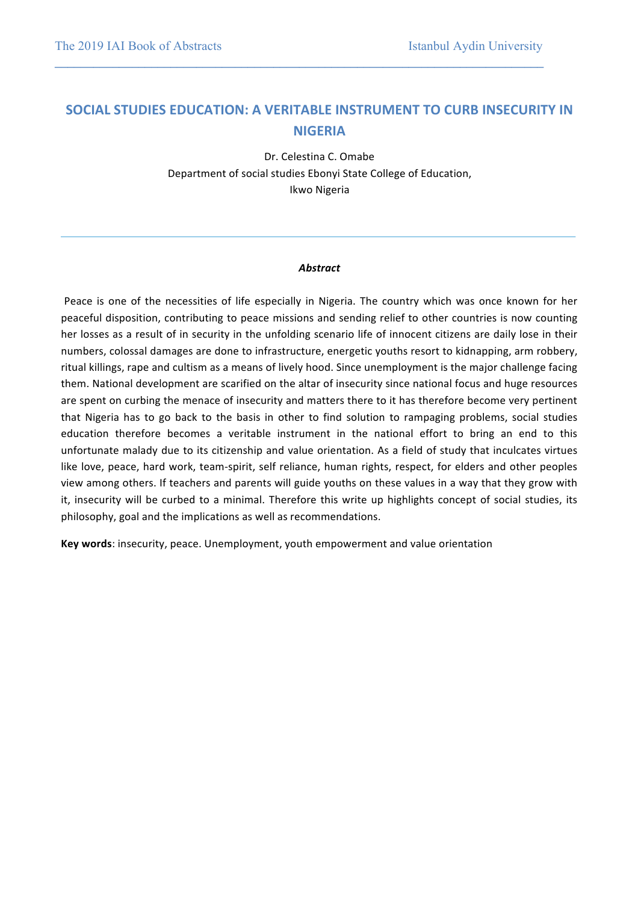## **SOCIAL STUDIES EDUCATION: A VERITABLE INSTRUMENT TO CURB INSECURITY IN NIGERIA**

**\_\_\_\_\_\_\_\_\_\_\_\_\_\_\_\_\_\_\_\_\_\_\_\_\_\_\_\_\_\_\_\_\_\_\_\_\_\_\_\_\_\_\_\_\_\_\_\_\_\_\_\_\_\_\_\_\_\_\_\_\_\_\_\_\_\_\_\_\_\_\_\_\_\_\_\_**

Dr. Celestina C. Omabe Department of social studies Ebonyi State College of Education, Ikwo Nigeria

#### *Abstract*

Peace is one of the necessities of life especially in Nigeria. The country which was once known for her peaceful disposition, contributing to peace missions and sending relief to other countries is now counting her losses as a result of in security in the unfolding scenario life of innocent citizens are daily lose in their numbers, colossal damages are done to infrastructure, energetic youths resort to kidnapping, arm robbery, ritual killings, rape and cultism as a means of lively hood. Since unemployment is the major challenge facing them. National development are scarified on the altar of insecurity since national focus and huge resources are spent on curbing the menace of insecurity and matters there to it has therefore become very pertinent that Nigeria has to go back to the basis in other to find solution to rampaging problems, social studies education therefore becomes a veritable instrument in the national effort to bring an end to this unfortunate malady due to its citizenship and value orientation. As a field of study that inculcates virtues like love, peace, hard work, team-spirit, self reliance, human rights, respect, for elders and other peoples view among others. If teachers and parents will guide youths on these values in a way that they grow with it, insecurity will be curbed to a minimal. Therefore this write up highlights concept of social studies, its philosophy, goal and the implications as well as recommendations.

**Key words:** insecurity, peace. Unemployment, youth empowerment and value orientation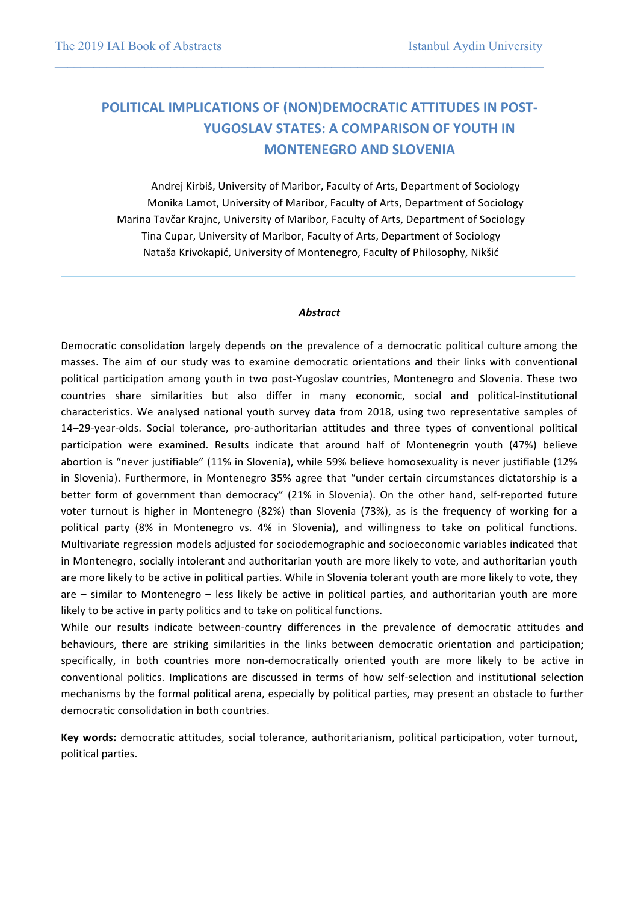# **POLITICAL IMPLICATIONS OF (NON)DEMOCRATIC ATTITUDES IN POST-YUGOSLAV STATES: A COMPARISON OF YOUTH IN MONTENEGRO AND SLOVENIA**

**\_\_\_\_\_\_\_\_\_\_\_\_\_\_\_\_\_\_\_\_\_\_\_\_\_\_\_\_\_\_\_\_\_\_\_\_\_\_\_\_\_\_\_\_\_\_\_\_\_\_\_\_\_\_\_\_\_\_\_\_\_\_\_\_\_\_\_\_\_\_\_\_\_\_\_\_**

Andrej Kirbiš, University of Maribor, Faculty of Arts, Department of Sociology Monika Lamot, University of Maribor, Faculty of Arts, Department of Sociology Marina Tavčar Krajnc, University of Maribor, Faculty of Arts, Department of Sociology Tina Cupar, University of Maribor, Faculty of Arts, Department of Sociology Nataša Krivokapić, University of Montenegro, Faculty of Philosophy, Nikšić

#### *Abstract*

Democratic consolidation largely depends on the prevalence of a democratic political culture among the masses. The aim of our study was to examine democratic orientations and their links with conventional political participation among youth in two post-Yugoslav countries, Montenegro and Slovenia. These two countries share similarities but also differ in many economic, social and political-institutional characteristics. We analysed national youth survey data from 2018, using two representative samples of 14–29-year-olds. Social tolerance, pro-authoritarian attitudes and three types of conventional political participation were examined. Results indicate that around half of Montenegrin youth (47%) believe abortion is "never justifiable" (11% in Slovenia), while 59% believe homosexuality is never justifiable (12% in Slovenia). Furthermore, in Montenegro 35% agree that "under certain circumstances dictatorship is a better form of government than democracy" (21% in Slovenia). On the other hand, self-reported future voter turnout is higher in Montenegro (82%) than Slovenia (73%), as is the frequency of working for a political party (8% in Montenegro vs. 4% in Slovenia), and willingness to take on political functions. Multivariate regression models adjusted for sociodemographic and socioeconomic variables indicated that in Montenegro, socially intolerant and authoritarian youth are more likely to vote, and authoritarian youth are more likely to be active in political parties. While in Slovenia tolerant youth are more likely to vote, they are  $-$  similar to Montenegro  $-$  less likely be active in political parties, and authoritarian youth are more likely to be active in party politics and to take on political functions.

While our results indicate between-country differences in the prevalence of democratic attitudes and behaviours, there are striking similarities in the links between democratic orientation and participation; specifically, in both countries more non-democratically oriented youth are more likely to be active in conventional politics. Implications are discussed in terms of how self-selection and institutional selection mechanisms by the formal political arena, especially by political parties, may present an obstacle to further democratic consolidation in both countries.

Key words: democratic attitudes, social tolerance, authoritarianism, political participation, voter turnout, political parties.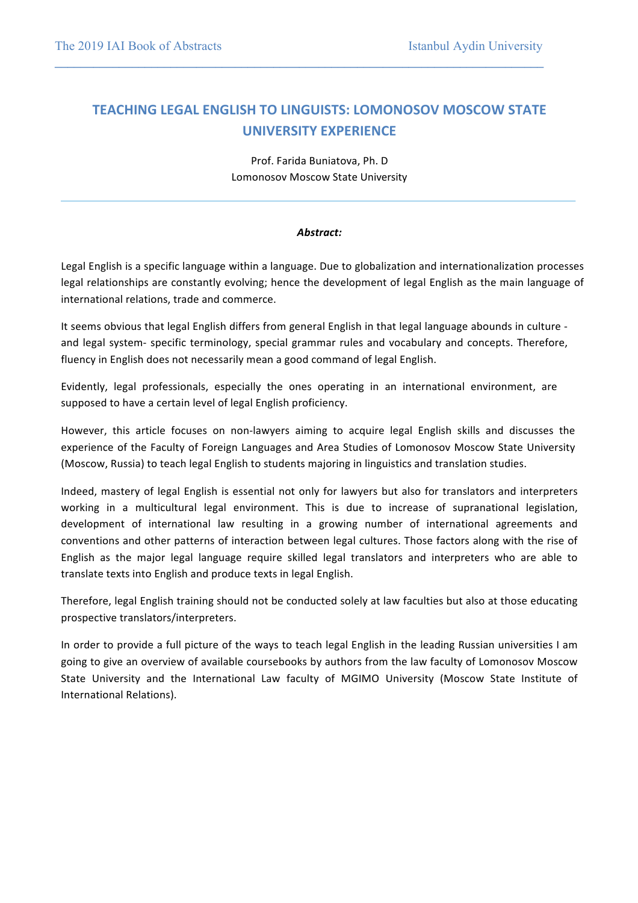# **TEACHING LEGAL ENGLISH TO LINGUISTS: LOMONOSOV MOSCOW STATE UNIVERSITY EXPERIENCE**

**\_\_\_\_\_\_\_\_\_\_\_\_\_\_\_\_\_\_\_\_\_\_\_\_\_\_\_\_\_\_\_\_\_\_\_\_\_\_\_\_\_\_\_\_\_\_\_\_\_\_\_\_\_\_\_\_\_\_\_\_\_\_\_\_\_\_\_\_\_\_\_\_\_\_\_\_**

Prof. Farida Buniatova, Ph. D Lomonosov Moscow State University

#### *Abstract:*

Legal English is a specific language within a language. Due to globalization and internationalization processes legal relationships are constantly evolving; hence the development of legal English as the main language of international relations, trade and commerce.

It seems obvious that legal English differs from general English in that legal language abounds in culture and legal system- specific terminology, special grammar rules and vocabulary and concepts. Therefore, fluency in English does not necessarily mean a good command of legal English.

Evidently, legal professionals, especially the ones operating in an international environment, are supposed to have a certain level of legal English proficiency.

However, this article focuses on non-lawyers aiming to acquire legal English skills and discusses the experience of the Faculty of Foreign Languages and Area Studies of Lomonosov Moscow State University (Moscow, Russia) to teach legal English to students majoring in linguistics and translation studies.

Indeed, mastery of legal English is essential not only for lawyers but also for translators and interpreters working in a multicultural legal environment. This is due to increase of supranational legislation, development of international law resulting in a growing number of international agreements and conventions and other patterns of interaction between legal cultures. Those factors along with the rise of English as the major legal language require skilled legal translators and interpreters who are able to translate texts into English and produce texts in legal English.

Therefore, legal English training should not be conducted solely at law faculties but also at those educating prospective translators/interpreters.

In order to provide a full picture of the ways to teach legal English in the leading Russian universities I am going to give an overview of available coursebooks by authors from the law faculty of Lomonosov Moscow State University and the International Law faculty of MGIMO University (Moscow State Institute of International Relations).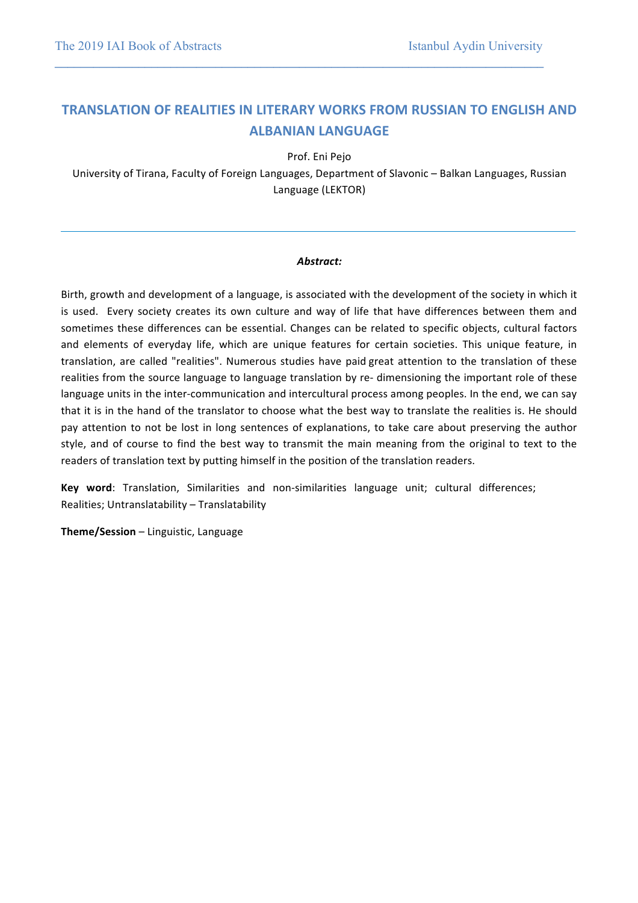# **TRANSLATION OF REALITIES IN LITERARY WORKS FROM RUSSIAN TO ENGLISH AND ALBANIAN LANGUAGE**

**\_\_\_\_\_\_\_\_\_\_\_\_\_\_\_\_\_\_\_\_\_\_\_\_\_\_\_\_\_\_\_\_\_\_\_\_\_\_\_\_\_\_\_\_\_\_\_\_\_\_\_\_\_\_\_\_\_\_\_\_\_\_\_\_\_\_\_\_\_\_\_\_\_\_\_\_**

Prof. Eni Pejo

University of Tirana, Faculty of Foreign Languages, Department of Slavonic - Balkan Languages, Russian Language (LEKTOR)

#### *Abstract:*

Birth, growth and development of a language, is associated with the development of the society in which it is used. Every society creates its own culture and way of life that have differences between them and sometimes these differences can be essential. Changes can be related to specific objects, cultural factors and elements of everyday life, which are unique features for certain societies. This unique feature, in translation, are called "realities". Numerous studies have paid great attention to the translation of these realities from the source language to language translation by re- dimensioning the important role of these language units in the inter-communication and intercultural process among peoples. In the end, we can say that it is in the hand of the translator to choose what the best way to translate the realities is. He should pay attention to not be lost in long sentences of explanations, to take care about preserving the author style, and of course to find the best way to transmit the main meaning from the original to text to the readers of translation text by putting himself in the position of the translation readers.

**Key word**: Translation, Similarities and non-similarities language unit; cultural differences; Realities; Untranslatability - Translatability

**Theme/Session** - Linguistic, Language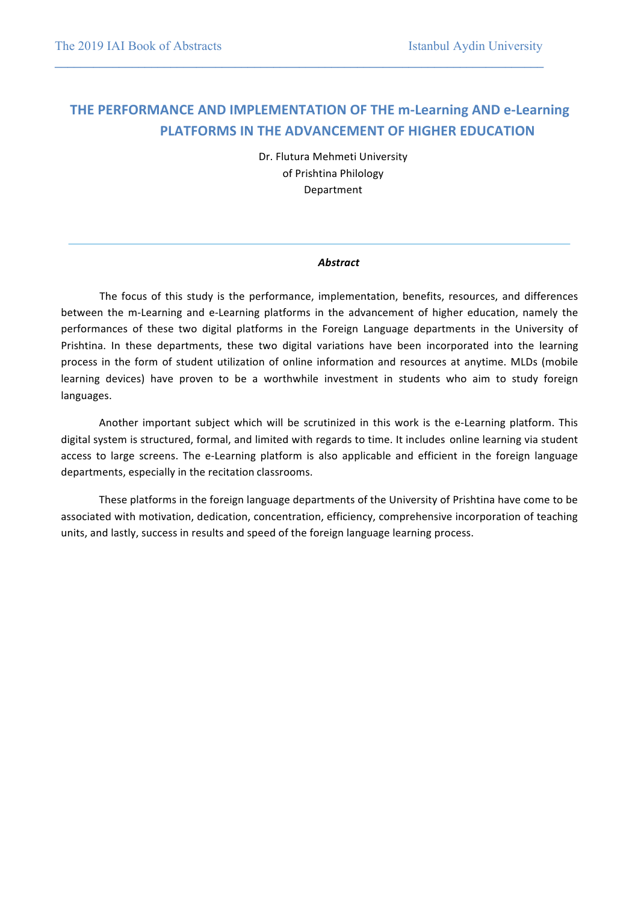# **THE PERFORMANCE AND IMPLEMENTATION OF THE m-Learning AND e-Learning PLATFORMS IN THE ADVANCEMENT OF HIGHER EDUCATION**

**\_\_\_\_\_\_\_\_\_\_\_\_\_\_\_\_\_\_\_\_\_\_\_\_\_\_\_\_\_\_\_\_\_\_\_\_\_\_\_\_\_\_\_\_\_\_\_\_\_\_\_\_\_\_\_\_\_\_\_\_\_\_\_\_\_\_\_\_\_\_\_\_\_\_\_\_**

Dr. Flutura Mehmeti University of Prishtina Philology Department

#### *Abstract*

The focus of this study is the performance, implementation, benefits, resources, and differences between the m-Learning and e-Learning platforms in the advancement of higher education, namely the performances of these two digital platforms in the Foreign Language departments in the University of Prishtina. In these departments, these two digital variations have been incorporated into the learning process in the form of student utilization of online information and resources at anytime. MLDs (mobile learning devices) have proven to be a worthwhile investment in students who aim to study foreign languages.

Another important subject which will be scrutinized in this work is the e-Learning platform. This digital system is structured, formal, and limited with regards to time. It includes online learning via student access to large screens. The e-Learning platform is also applicable and efficient in the foreign language departments, especially in the recitation classrooms.

These platforms in the foreign language departments of the University of Prishtina have come to be associated with motivation, dedication, concentration, efficiency, comprehensive incorporation of teaching units, and lastly, success in results and speed of the foreign language learning process.